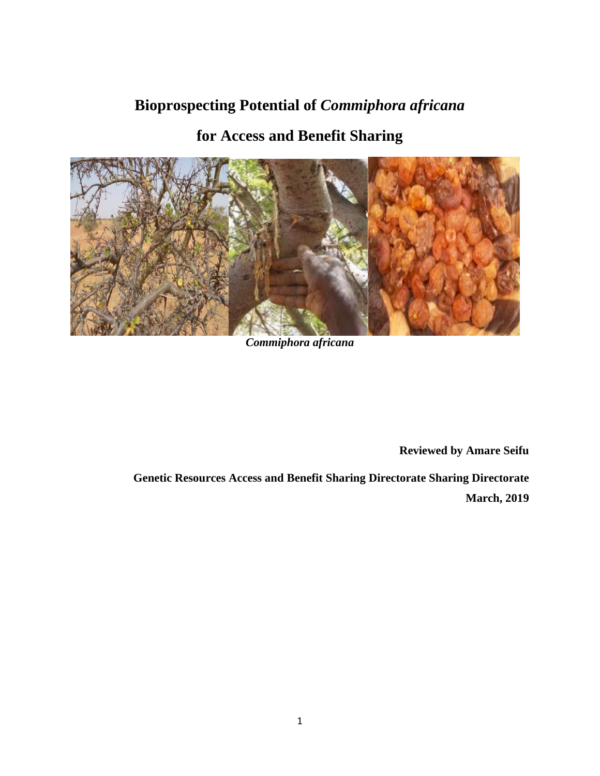# **Bioprospecting Potential of** *Commiphora africana*

## **for Access and Benefit Sharing**



*Commiphora africana*

**Reviewed by Amare Seifu**

 **Genetic Resources Access and Benefit Sharing Directorate Sharing Directorate March, 2019**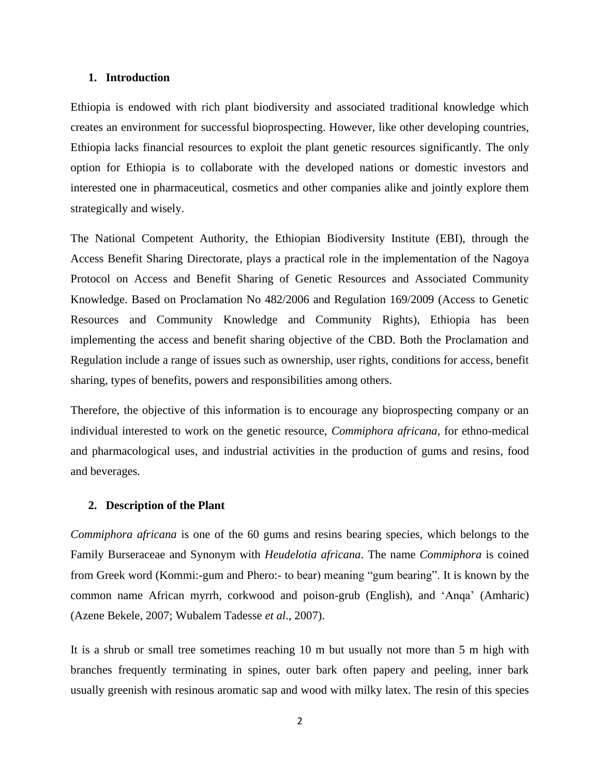### **1. Introduction**

Ethiopia is endowed with rich plant biodiversity and associated traditional knowledge which creates an environment for successful bioprospecting. However, like other developing countries, Ethiopia lacks financial resources to exploit the plant genetic resources significantly. The only option for Ethiopia is to collaborate with the developed nations or domestic investors and interested one in pharmaceutical, cosmetics and other companies alike and jointly explore them strategically and wisely.

The National Competent Authority, the Ethiopian Biodiversity Institute (EBI), through the Access Benefit Sharing Directorate, plays a practical role in the implementation of the Nagoya Protocol on Access and Benefit Sharing of Genetic Resources and Associated Community Knowledge. Based on Proclamation No 482/2006 and Regulation 169/2009 (Access to Genetic Resources and Community Knowledge and Community Rights), Ethiopia has been implementing the access and benefit sharing objective of the CBD. Both the Proclamation and Regulation include a range of issues such as ownership, user rights, conditions for access, benefit sharing, types of benefits, powers and responsibilities among others.

Therefore, the objective of this information is to encourage any bioprospecting company or an individual interested to work on the genetic resource, *Commiphora africana,* for ethno-medical and pharmacological uses, and industrial activities in the production of gums and resins, food and beverages.

#### **2. Description of the Plant**

*Commiphora africana* is one of the 60 gums and resins bearing species, which belongs to the Family Burseraceae and Synonym with *Heudelotia africana*. The name *Commiphora* is coined from Greek word (Kommi:-gum and Phero:- to bear) meaning "gum bearing". It is known by the common name African myrrh, corkwood and poison-grub (English), and 'Anqa' (Amharic) (Azene Bekele, 2007; Wubalem Tadesse *et al*., 2007).

It is a shrub or small tree sometimes reaching 10 m but usually not more than 5 m high with branches frequently terminating in spines, outer bark often papery and peeling, inner bark usually greenish with resinous aromatic sap and wood with milky latex. The resin of this species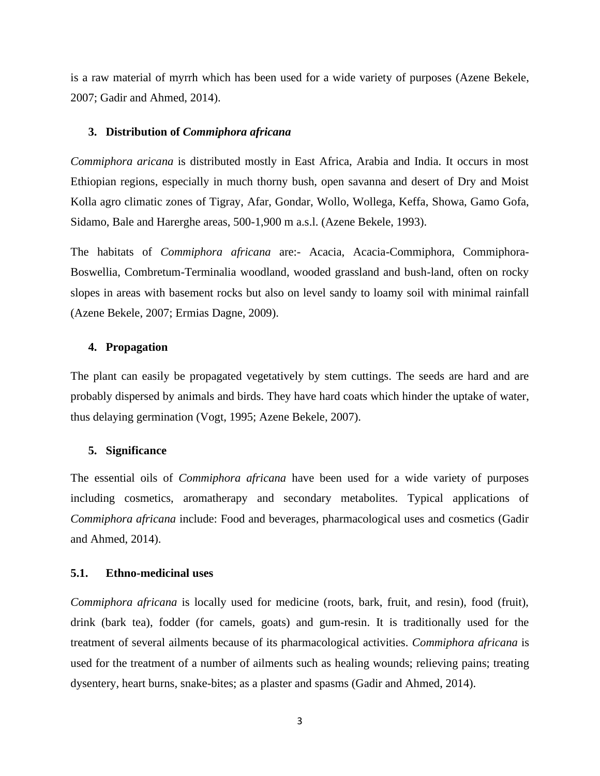is a raw material of myrrh which has been used for a wide variety of purposes (Azene Bekele, 2007; Gadir and Ahmed, 2014).

#### **3. Distribution of** *Commiphora africana*

*Commiphora aricana* is distributed mostly in East Africa, Arabia and India. It occurs in most Ethiopian regions, especially in much thorny bush, open savanna and desert of Dry and Moist Kolla agro climatic zones of Tigray, Afar, Gondar, Wollo, Wollega, Keffa, Showa, Gamo Gofa, Sidamo, Bale and Harerghe areas, 500-1,900 m a.s.l. (Azene Bekele, 1993).

The habitats of *Commiphora africana* are:- Acacia, Acacia-Commiphora, Commiphora-Boswellia, Combretum-Terminalia woodland, wooded grassland and bush-land, often on rocky slopes in areas with basement rocks but also on level sandy to loamy soil with minimal rainfall (Azene Bekele, 2007; Ermias Dagne, 2009).

## **4. Propagation**

The plant can easily be propagated vegetatively by stem cuttings. The seeds are hard and are probably dispersed by animals and birds. They have hard coats which hinder the uptake of water, thus delaying germination (Vogt, 1995; Azene Bekele, 2007).

#### **5. Significance**

The essential oils of *Commiphora africana* have been used for a wide variety of purposes including cosmetics, aromatherapy and secondary metabolites. Typical applications of *Commiphora africana* include: Food and beverages*,* pharmacological uses and cosmetics (Gadir and Ahmed, 2014).

## **5.1. Ethno-medicinal uses**

*Commiphora africana* is locally used for medicine (roots, bark, fruit, and resin), food (fruit), drink (bark tea), fodder (for camels, goats) and gum-resin. It is traditionally used for the treatment of several ailments because of its pharmacological activities. *Commiphora africana* is used for the treatment of a number of ailments such as healing wounds; relieving pains; treating dysentery, heart burns, snake-bites; as a plaster and spasms (Gadir and Ahmed, 2014).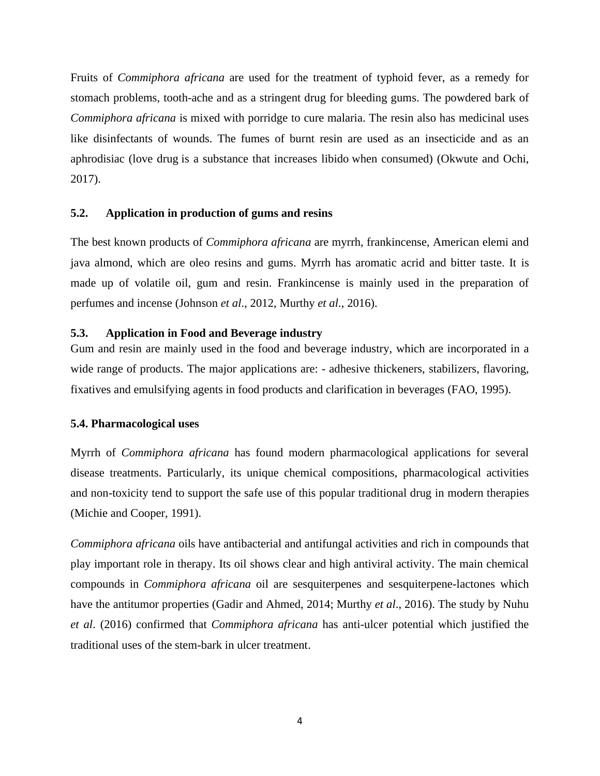Fruits of *Commiphora africana* are used for the treatment of typhoid fever, as a remedy for stomach problems, tooth-ache and as a stringent drug for bleeding gums. The powdered bark of *Commiphora africana* is mixed with porridge to cure malaria. The resin also has medicinal uses like disinfectants of wounds. The fumes of burnt resin are used as an insecticide and as an aphrodisiac (love drug is a substance that increases libido when consumed) (Okwute and Ochi, 2017).

## **5.2. Application in production of gums and resins**

The best known products of *Commiphora africana* are myrrh, frankincense, American elemi and java almond, which are oleo resins and gums. Myrrh has aromatic acrid and bitter taste. It is made up of volatile oil, gum and resin. Frankincense is mainly used in the preparation of perfumes and incense [\(Johnson](http://ascidatabase.com/author.php?author=Ekarika&last=Johnson) *et al*., 2012, Murthy *et al*., 2016).

## **5.3. Application in Food and Beverage industry**

Gum and resin are mainly used in the food and beverage industry, which are incorporated in a wide range of products. The major applications are: - adhesive thickeners, stabilizers, flavoring, fixatives and emulsifying agents in food products and clarification in beverages (FAO, 1995).

## **5.4. Pharmacological uses**

Myrrh of *Commiphora africana* has found modern pharmacological applications for several disease treatments. Particularly, its unique chemical compositions, pharmacological activities and non-toxicity tend to support the safe use of this popular traditional drug in modern therapies (Michie and Cooper, 1991).

*Commiphora africana* oils have antibacterial and antifungal activities and rich in compounds that play important role in therapy. Its oil shows clear and high antiviral activity. The main chemical compounds in *Commiphora africana* oil are sesquiterpenes and sesquiterpene-lactones which have the antitumor properties (Gadir and Ahmed, 2014; Murthy *et al*., 2016). The study by Nuhu *et al*. (2016) confirmed that *Commiphora africana* has anti-ulcer potential which justified the traditional uses of the stem-bark in ulcer treatment.